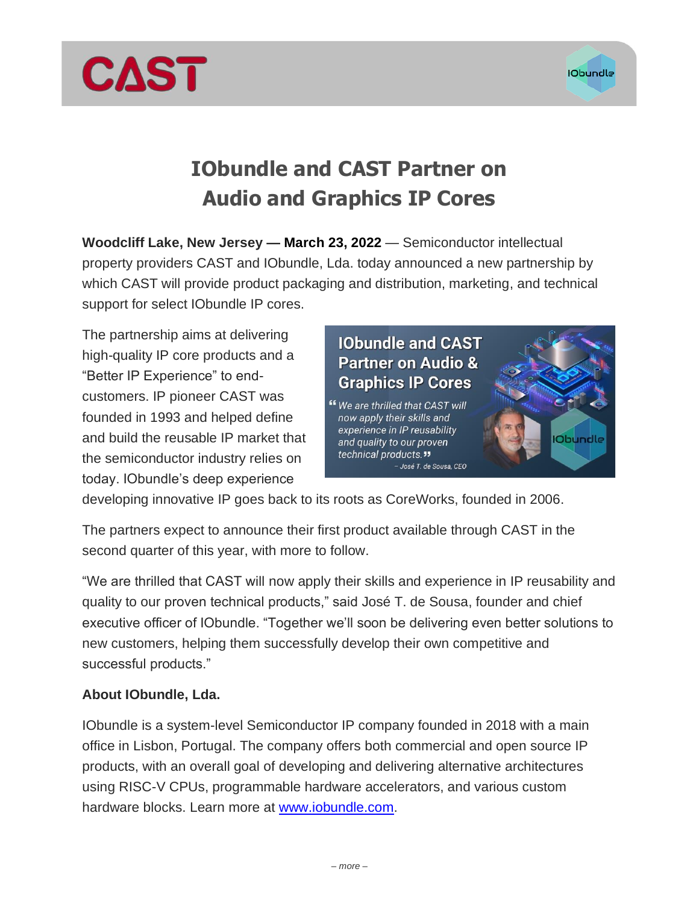

# **IObundle and CAST Partner on**

# **Audio and Graphics IP Cores**

**Woodcliff Lake, New Jersey — March 23, 2022** — Semiconductor intellectual property providers CAST and IObundle, Lda. today announced a new partnership by which CAST will provide product packaging and distribution, marketing, and technical support for select IObundle IP cores.

The partnership aims at delivering high-quality IP core products and a "Better IP Experience" to endcustomers. IP pioneer CAST was founded in 1993 and helped define and build the reusable IP market that the semiconductor industry relies on today. IObundle's deep experience

**CAST** 

## **IObundle and CAST Partner on Audio & Graphics IP Cores**

" We are thrilled that CAST will now apply their skills and experience in IP reusability and quality to our proven technical products." - José T. de Sousa, CEO



developing innovative IP goes back to its roots as CoreWorks, founded in 2006.

The partners expect to announce their first product available through CAST in the second quarter of this year, with more to follow.

"We are thrilled that CAST will now apply their skills and experience in IP reusability and quality to our proven technical products," said José T. de Sousa, founder and chief executive officer of IObundle. "Together we'll soon be delivering even better solutions to new customers, helping them successfully develop their own competitive and successful products."

### **About IObundle, Lda.**

IObundle is a system-level Semiconductor IP company founded in 2018 with a main office in Lisbon, Portugal. The company offers both commercial and open source IP products, with an overall goal of developing and delivering alternative architectures using RISC-V CPUs, programmable hardware accelerators, and various custom hardware blocks. Learn more at [www.iobundle.com.](mailto:https://www.iobundle.com/home)